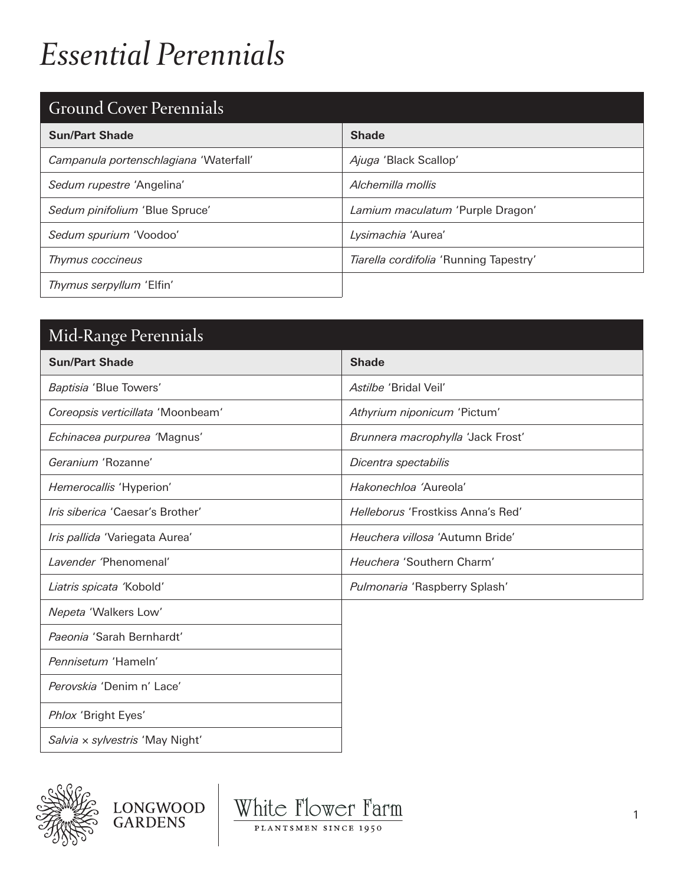## *Essential Perennials*

## Ground Cover Perennials

| Stound Sover Ferenman                  |                                        |
|----------------------------------------|----------------------------------------|
| <b>Sun/Part Shade</b>                  | <b>Shade</b>                           |
| Campanula portenschlagiana 'Waterfall' | Ajuga 'Black Scallop'                  |
| Sedum rupestre 'Angelina'              | Alchemilla mollis                      |
| Sedum pinifolium 'Blue Spruce'         | Lamium maculatum 'Purple Dragon'       |
| Sedum spurium 'Voodoo'                 | Lysimachia 'Aurea'                     |
| Thymus coccineus                       | Tiarella cordifolia 'Running Tapestry' |
| Thymus serpyllum 'Elfin'               |                                        |

| Mid-Range Perennials              |                                        |
|-----------------------------------|----------------------------------------|
| <b>Sun/Part Shade</b>             | <b>Shade</b>                           |
| Baptisia 'Blue Towers'            | Astilbe 'Bridal Veil'                  |
| Coreopsis verticillata 'Moonbeam' | Athyrium niponicum 'Pictum'            |
| Echinacea purpurea 'Magnus'       | Brunnera macrophylla 'Jack Frost'      |
| Geranium 'Rozanne'                | Dicentra spectabilis                   |
| Hemerocallis 'Hyperion'           | Hakonechloa 'Aureola'                  |
| Iris siberica 'Caesar's Brother'  | Helleborus 'Frostkiss Anna's Red'      |
| Iris pallida 'Variegata Aurea'    | <i>Heuchera villosa 'Autumn Bride'</i> |
| Lavender 'Phenomenal'             | Heuchera 'Southern Charm'              |
| Liatris spicata 'Kobold'          | Pulmonaria 'Raspberry Splash'          |
| Nepeta 'Walkers Low'              |                                        |
| Paeonia 'Sarah Bernhardt'         |                                        |
| Pennisetum 'Hameln'               |                                        |
| Perovskia 'Denim n' Lace'         |                                        |
| Phlox 'Bright Eyes'               |                                        |
| Salvia x sylvestris 'May Night'   |                                        |



LONGWOOD<br>GARDENS